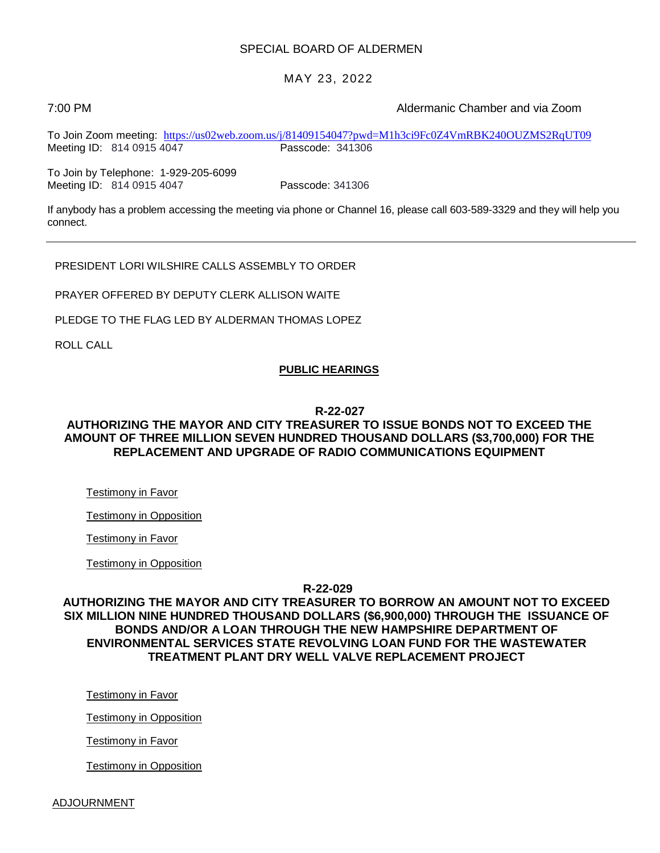#### SPECIAL BOARD OF ALDERMEN

#### MAY 23, 2022

7:00 PM Aldermanic Chamber and via Zoom

To Join Zoom meeting: <https://us02web.zoom.us/j/81409154047?pwd=M1h3ci9Fc0Z4VmRBK240OUZMS2RqUT09><br>Meeting ID: 814 0915 4047 Passcode: 341306 Meeting ID: 814 0915 4047

To Join by Telephone: 1-929-205-6099 Meeting ID: 814 0915 4047 Passcode: 341306

If anybody has a problem accessing the meeting via phone or Channel 16, please call 603-589-3329 and they will help you connect.

PRESIDENT LORI WILSHIRE CALLS ASSEMBLY TO ORDER

PRAYER OFFERED BY DEPUTY CLERK ALLISON WAITE

PLEDGE TO THE FLAG LED BY ALDERMAN THOMAS LOPEZ

ROLL CALL

#### **PUBLIC HEARINGS**

#### **R-22-027**

#### **AUTHORIZING THE MAYOR AND CITY TREASURER TO ISSUE BONDS NOT TO EXCEED THE AMOUNT OF THREE MILLION SEVEN HUNDRED THOUSAND DOLLARS (\$3,700,000) FOR THE REPLACEMENT AND UPGRADE OF RADIO COMMUNICATIONS EQUIPMENT**

Testimony in Favor

Testimony in Opposition

Testimony in Favor

Testimony in Opposition

**R-22-029**

#### **AUTHORIZING THE MAYOR AND CITY TREASURER TO BORROW AN AMOUNT NOT TO EXCEED SIX MILLION NINE HUNDRED THOUSAND DOLLARS (\$6,900,000) THROUGH THE ISSUANCE OF BONDS AND/OR A LOAN THROUGH THE NEW HAMPSHIRE DEPARTMENT OF ENVIRONMENTAL SERVICES STATE REVOLVING LOAN FUND FOR THE WASTEWATER TREATMENT PLANT DRY WELL VALVE REPLACEMENT PROJECT**

Testimony in Favor

Testimony in Opposition

Testimony in Favor

Testimony in Opposition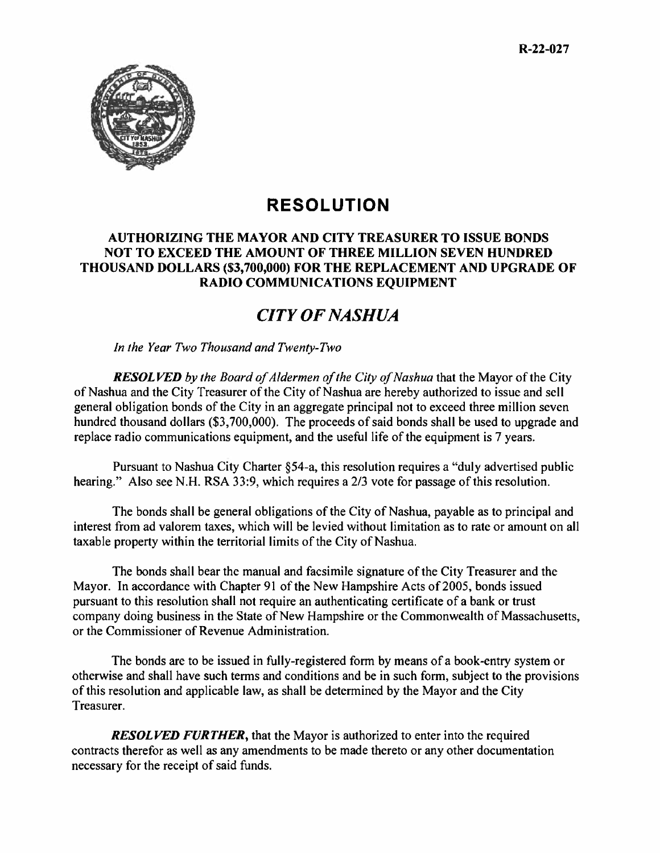

# **RESOLUTION**

## **AUTHORIZING THE MAYOR AND CITY TREASURER TO ISSUE BONDS NOT TO EXCEED THE AMOUNT OF THREE MILLION SEVEN HUNDRED THOUSAND DOLLARS (\$3,700,000) FOR THE REPLACEMENT AND UPGRADE OF RADIO COMMUNICATIONS EQUIPMENT**

# *CITY OF NASHUA*

*In the Year Two Thousand and Twenty-Two* 

*RESOLVED by the Board of Aldermen of the City of Nashua* that the Mayor of the City of Nashua and the City Treasurer of the City of Nashua are hereby authorized to issue and sell general obligation bonds of the City in an aggregate principal not to exceed three million seven hundred thousand dollars (\$3,700,000). The proceeds of said bonds shall be used to upgrade and replace radio communications equipment, and the useful life of the equipment is 7 years.

Pursuant to Nashua City Charter §54-a, this resolution requires a "duly advertised public hearing." Also see N.H. RSA 33:9, which requires a 2/3 vote for passage of this resolution.

The bonds shall be general obligations of the City of Nashua, payable as to principal and interest from ad valorem taxes, which will be levied without limitation as to rate or amount on all taxable property within the territorial limits of the City of Nashua.

The bonds shall bear the manual and facsimile signature of the City Treasurer and the Mayor. In accordance with Chapter 91 of the New Hampshire Acts of 2005, bonds issued pursuant to this resolution shall not require an authenticating certificate of a bank or trust company doing business in the State of New Hampshire or the Commonwealth of Massachusetts, or the Commissioner of Revenue Administration.

The bonds are to be issued in fully-registered form by means of a book-entry system or otherwise and shall have such terms and conditions and be in such form, subject to the provisions of this resolution and applicable law, as shall be determined by the Mayor and the City Treasurer.

*RESOLVED FURTHER*, that the Mayor is authorized to enter into the required contracts therefor as well as any amendments to be made thereto or any other documentation necessary for the receipt of said funds.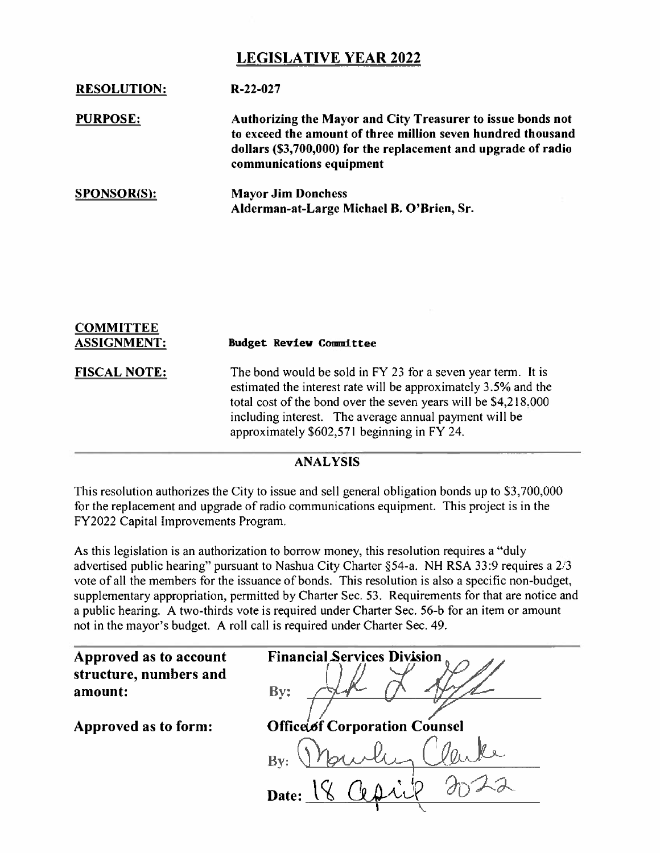## **LEGISLATIVE YEAR 2022**

| <b>RESOLUTION:</b> | $R-22-027$                                                                                                                                                                                                                |
|--------------------|---------------------------------------------------------------------------------------------------------------------------------------------------------------------------------------------------------------------------|
| <b>PURPOSE:</b>    | Authorizing the Mayor and City Treasurer to issue bonds not<br>to exceed the amount of three million seven hundred thousand<br>dollars (\$3,700,000) for the replacement and upgrade of radio<br>communications equipment |
| <b>SPONSOR(S):</b> | <b>Mayor Jim Donchess</b><br>Alderman-at-Large Michael B. O'Brien, Sr.                                                                                                                                                    |

| <b>COMMITTEE</b><br><b>ASSIGNMENT:</b> | <b>Budget Review Committee</b>                                                                                                                                                                                                                                                                             |
|----------------------------------------|------------------------------------------------------------------------------------------------------------------------------------------------------------------------------------------------------------------------------------------------------------------------------------------------------------|
| <b>FISCAL NOTE:</b>                    | The bond would be sold in FY 23 for a seven year term. It is<br>estimated the interest rate will be approximately 3.5% and the<br>total cost of the bond over the seven years will be \$4,218,000<br>including interest. The average annual payment will be<br>approximately \$602,571 beginning in FY 24. |

#### **ANALYSIS**

This resolution authorizes the City to issue and sell general obligation bonds up to 53,700,000 for the replacement and upgrade of radio communications equipment. This project is in the FY2022 Capital Improvements Program.

As this legislation is an authorization to borrow money, this resolution requires a "duly advertised public hearing" pursuant to Nashua City Charter §54-a. NH RSA 33:9 requires a 2/3 vote of all the members for the issuance of bonds. This resolution is also a specific non-budget, supplementary appropriation, permitted by Charter Sec. 53. Requirements for that are notice and a public hearing. A two-thirds vote is required under Charter Sec. 56-b for an item or amount not in the mayor's budget. A roll call is required under Charter Sec. 49.

| Approved as to account            | <b>Financial Services Division</b>   |
|-----------------------------------|--------------------------------------|
| structure, numbers and<br>amount: | By:                                  |
| Approved as to form:              | <b>Office of Corporation Counsel</b> |
|                                   | Bv:                                  |
|                                   | Date:                                |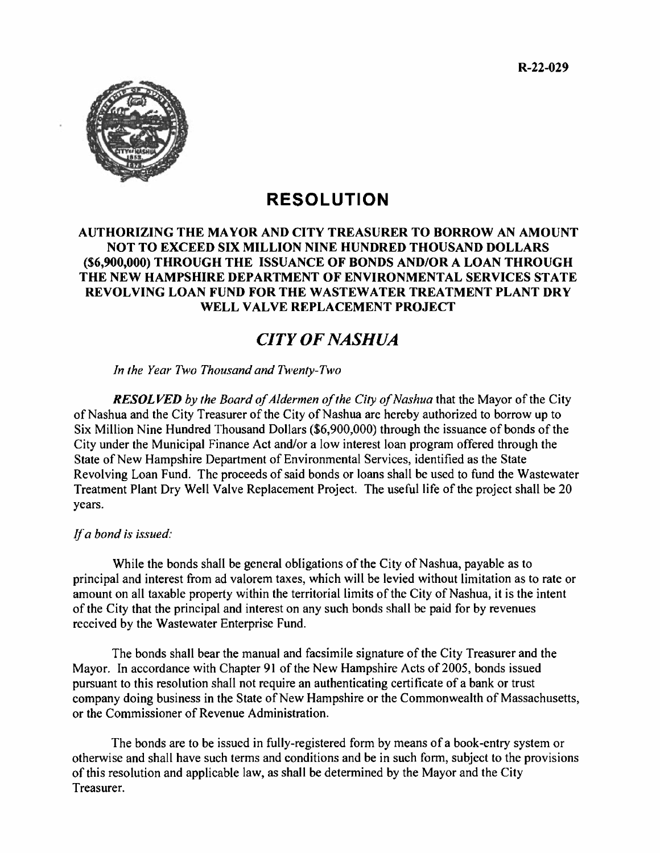

# **RESOLUTION**

## **AUTHORIZING THE MAYOR AND CITY TREASURER TO BORROW AN AMOUNT NOT TO EXCEED SIX MILLION NINE HUNDRED THOUSAND DOLLARS (\$6,900,000) THROUGH THE ISSUANCE OF BONDS AND/OR A LOAN THROUGH THE NEW HAMPSHIRE DEPARTMENT OF ENVIRONMENTAL SERVICES STATE REVOLVING LOAN FUND FOR THE WASTEWATER TREATMENT PLANT DRY WELL VALVE REPLACEMENT PROJECT**

# *CITY OF NASHUA*

*In the Year Two Thousand and Twenty-Two* 

*RESOLVED by the Board of Aldermen of the City of Nashua* that the Mayor of the City of Nashua and the City Treasurer of the City of Nashua arc hereby authorized to borrow up to Six Million Nine Hundred Thousand Dollars (\$6,900,000) through the issuance of bonds of the City under the Municipal Finance Act and/or a low interest loan program offered through the State of New Hampshire Department of Environmental Services, identified as the State Revolving Loan Fund. The proceeds of said bonds or loans shall be used to fund the Wastewater Treatment Plant Dry Well Valve Replacement Project. The useful life of the project shall be 20 years.

## *If a bond is issued:*

While the bonds shall be general obligations of the City of Nashua, payable as to principal and interest from ad valorem taxes, which will be levied without limitation as to rate or amount on all taxable property within the territorial limits of the City of Nashua, it is the intent of the City that the principal and interest on any such bonds shall be paid for by revenues received by the Wastewater Enterprise Fund.

The bonds shall bear the manual and facsimile signature of the City Treasurer and the Mayor. In accordance with Chapter 91 of the New Hampshire Acts of 2005, bonds issued pursuant to this resolution shall not require an authenticating certificate of a bank or trust company doing business in the State of New Hampshire or the Commonwealth of Massachusetts, or the Commissioner of Revenue Administration.

The bonds are to be issued in fully-registered form by means of a book-entry system or otherwise and shall have such terms and conditions and be in such form, subject to the provisions of this resolution and applicable law, as shall be determined by the Mayor and the City Treasurer.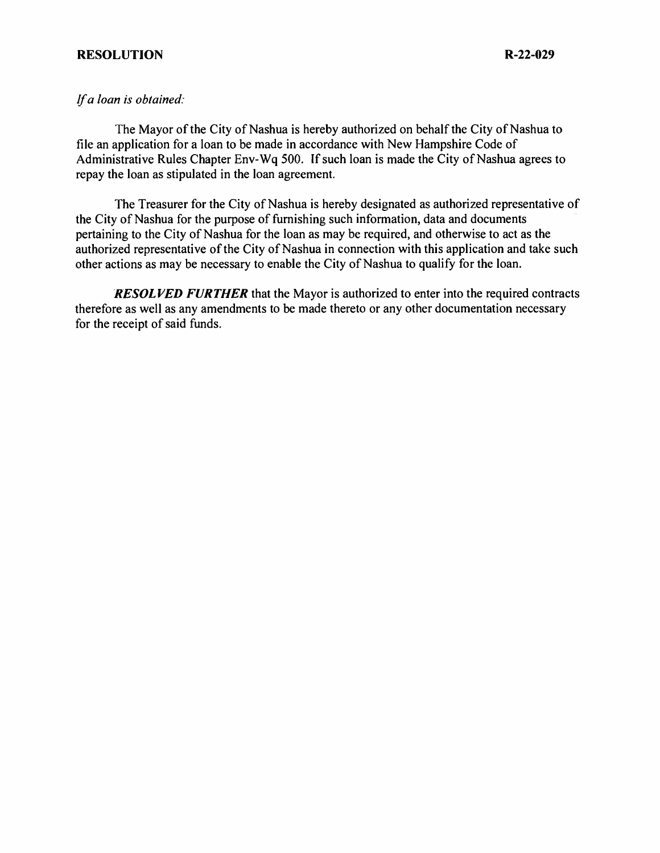#### **RESOLUTION R-22-029**

#### *If a loan is obtained:*

The Mayor of the City of Nashua is hereby authorized on behalf the City of Nashua to file an application for a loan to be made in accordance with New Hampshire Code of Administrative Rules Chapter Env-Wq 500. If such loan is made the City of Nashua agrees to repay the loan as stipulated in the loan agreement.

The Treasurer for the City of Nashua is hereby designated as authorized representative of the City of Nashua for the purpose of furnishing such information, data and documents pertaining to the City of Nashua for the loan as may be required, and otherwise to act as the authorized representative of the City of Nashua in connection with this application and take such other actions as may be necessary to enable the City of Nashua to qualify for the loan.

*RESOLVED FURTHER* that the Mayor is authorized to enter into the required contracts therefore as well as any amendments to be made thereto or any other documentation necessary for the receipt of said funds.